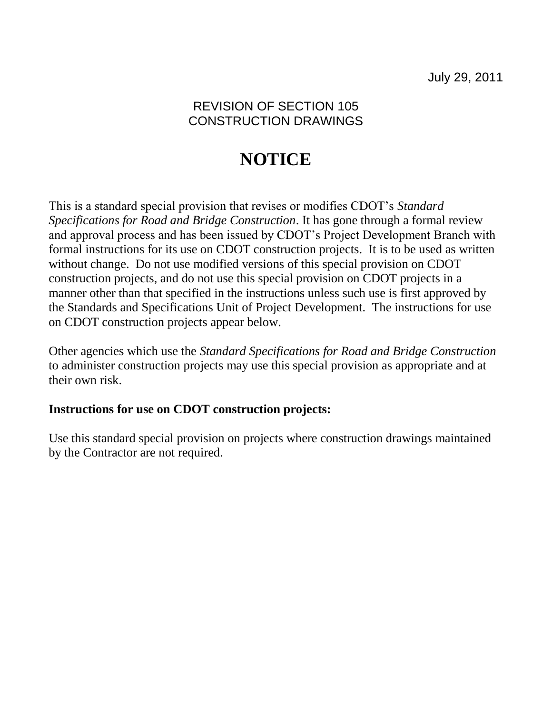## REVISION OF SECTION 105 CONSTRUCTION DRAWINGS

## **NOTICE**

This is a standard special provision that revises or modifies CDOT's *Standard Specifications for Road and Bridge Construction*. It has gone through a formal review and approval process and has been issued by CDOT's Project Development Branch with formal instructions for its use on CDOT construction projects. It is to be used as written without change. Do not use modified versions of this special provision on CDOT construction projects, and do not use this special provision on CDOT projects in a manner other than that specified in the instructions unless such use is first approved by the Standards and Specifications Unit of Project Development. The instructions for use on CDOT construction projects appear below.

Other agencies which use the *Standard Specifications for Road and Bridge Construction* to administer construction projects may use this special provision as appropriate and at their own risk.

## **Instructions for use on CDOT construction projects:**

Use this standard special provision on projects where construction drawings maintained by the Contractor are not required.